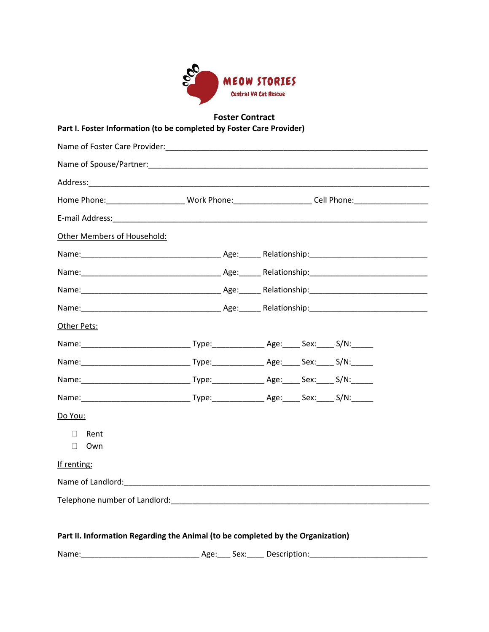

## **Foster Contract**

**Part I. Foster Information (to be completed by Foster Care Provider)**

|                                                                                 | Home Phone: _______________________Work Phone: _______________________Cell Phone: __________________    |
|---------------------------------------------------------------------------------|---------------------------------------------------------------------------------------------------------|
|                                                                                 |                                                                                                         |
| Other Members of Household:                                                     |                                                                                                         |
|                                                                                 |                                                                                                         |
|                                                                                 |                                                                                                         |
|                                                                                 |                                                                                                         |
|                                                                                 |                                                                                                         |
| Other Pets:                                                                     |                                                                                                         |
|                                                                                 |                                                                                                         |
|                                                                                 |                                                                                                         |
|                                                                                 |                                                                                                         |
|                                                                                 |                                                                                                         |
| Do You:                                                                         |                                                                                                         |
| Rent<br>$\Box$<br>$\Box$ Own                                                    |                                                                                                         |
| If renting:                                                                     |                                                                                                         |
|                                                                                 |                                                                                                         |
|                                                                                 | Telephone number of Landlord: The contract of the contract of the contract of the contract of Landlord: |
| Part II. Information Regarding the Animal (to be completed by the Organization) |                                                                                                         |
| Name:                                                                           | Age: Sex: Description:                                                                                  |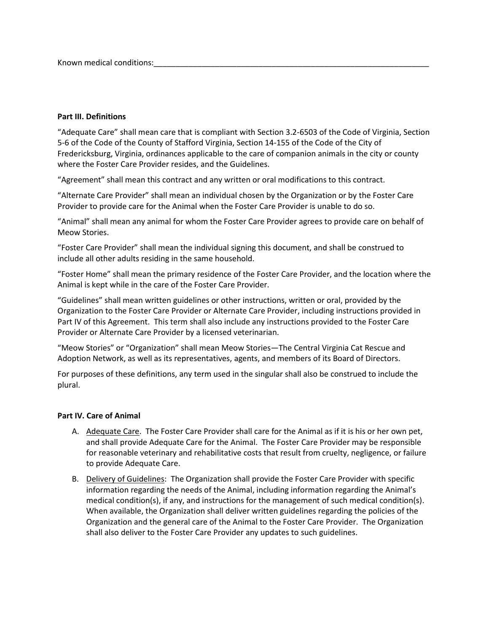Known medical conditions:

## **Part III. Definitions**

"Adequate Care" shall mean care that is compliant with Section 3.2-6503 of the Code of Virginia, Section 5-6 of the Code of the County of Stafford Virginia, Section 14-155 of the Code of the City of Fredericksburg, Virginia, ordinances applicable to the care of companion animals in the city or county where the Foster Care Provider resides, and the Guidelines.

"Agreement" shall mean this contract and any written or oral modifications to this contract.

"Alternate Care Provider" shall mean an individual chosen by the Organization or by the Foster Care Provider to provide care for the Animal when the Foster Care Provider is unable to do so.

"Animal" shall mean any animal for whom the Foster Care Provider agrees to provide care on behalf of Meow Stories.

"Foster Care Provider" shall mean the individual signing this document, and shall be construed to include all other adults residing in the same household.

"Foster Home" shall mean the primary residence of the Foster Care Provider, and the location where the Animal is kept while in the care of the Foster Care Provider.

"Guidelines" shall mean written guidelines or other instructions, written or oral, provided by the Organization to the Foster Care Provider or Alternate Care Provider, including instructions provided in Part IV of this Agreement. This term shall also include any instructions provided to the Foster Care Provider or Alternate Care Provider by a licensed veterinarian.

"Meow Stories" or "Organization" shall mean Meow Stories—The Central Virginia Cat Rescue and Adoption Network, as well as its representatives, agents, and members of its Board of Directors.

For purposes of these definitions, any term used in the singular shall also be construed to include the plural.

#### **Part IV. Care of Animal**

- A. Adequate Care. The Foster Care Provider shall care for the Animal as if it is his or her own pet, and shall provide Adequate Care for the Animal. The Foster Care Provider may be responsible for reasonable veterinary and rehabilitative costs that result from cruelty, negligence, or failure to provide Adequate Care.
- B. Delivery of Guidelines: The Organization shall provide the Foster Care Provider with specific information regarding the needs of the Animal, including information regarding the Animal's medical condition(s), if any, and instructions for the management of such medical condition(s). When available, the Organization shall deliver written guidelines regarding the policies of the Organization and the general care of the Animal to the Foster Care Provider. The Organization shall also deliver to the Foster Care Provider any updates to such guidelines.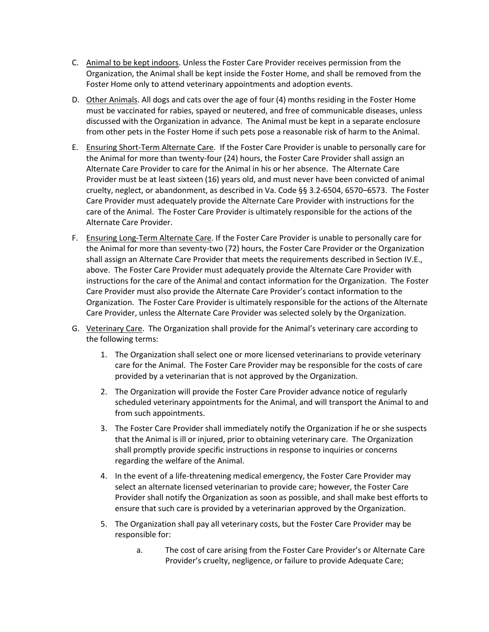- C. Animal to be kept indoors. Unless the Foster Care Provider receives permission from the Organization, the Animal shall be kept inside the Foster Home, and shall be removed from the Foster Home only to attend veterinary appointments and adoption events.
- D. Other Animals. All dogs and cats over the age of four (4) months residing in the Foster Home must be vaccinated for rabies, spayed or neutered, and free of communicable diseases, unless discussed with the Organization in advance. The Animal must be kept in a separate enclosure from other pets in the Foster Home if such pets pose a reasonable risk of harm to the Animal.
- E. Ensuring Short-Term Alternate Care. If the Foster Care Provider is unable to personally care for the Animal for more than twenty-four (24) hours, the Foster Care Provider shall assign an Alternate Care Provider to care for the Animal in his or her absence. The Alternate Care Provider must be at least sixteen (16) years old, and must never have been convicted of animal cruelty, neglect, or abandonment, as described in Va. Code §§ 3.2-6504, 6570–6573. The Foster Care Provider must adequately provide the Alternate Care Provider with instructions for the care of the Animal. The Foster Care Provider is ultimately responsible for the actions of the Alternate Care Provider.
- F. Ensuring Long-Term Alternate Care. If the Foster Care Provider is unable to personally care for the Animal for more than seventy-two (72) hours, the Foster Care Provider or the Organization shall assign an Alternate Care Provider that meets the requirements described in Section IV.E., above. The Foster Care Provider must adequately provide the Alternate Care Provider with instructions for the care of the Animal and contact information for the Organization. The Foster Care Provider must also provide the Alternate Care Provider's contact information to the Organization. The Foster Care Provider is ultimately responsible for the actions of the Alternate Care Provider, unless the Alternate Care Provider was selected solely by the Organization.
- G. Veterinary Care. The Organization shall provide for the Animal's veterinary care according to the following terms:
	- 1. The Organization shall select one or more licensed veterinarians to provide veterinary care for the Animal. The Foster Care Provider may be responsible for the costs of care provided by a veterinarian that is not approved by the Organization.
	- 2. The Organization will provide the Foster Care Provider advance notice of regularly scheduled veterinary appointments for the Animal, and will transport the Animal to and from such appointments.
	- 3. The Foster Care Provider shall immediately notify the Organization if he or she suspects that the Animal is ill or injured, prior to obtaining veterinary care. The Organization shall promptly provide specific instructions in response to inquiries or concerns regarding the welfare of the Animal.
	- 4. In the event of a life-threatening medical emergency, the Foster Care Provider may select an alternate licensed veterinarian to provide care; however, the Foster Care Provider shall notify the Organization as soon as possible, and shall make best efforts to ensure that such care is provided by a veterinarian approved by the Organization.
	- 5. The Organization shall pay all veterinary costs, but the Foster Care Provider may be responsible for:
		- a. The cost of care arising from the Foster Care Provider's or Alternate Care Provider's cruelty, negligence, or failure to provide Adequate Care;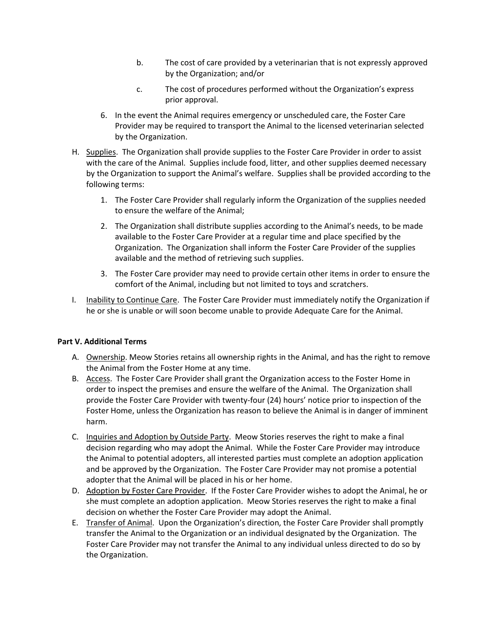- b. The cost of care provided by a veterinarian that is not expressly approved by the Organization; and/or
- c. The cost of procedures performed without the Organization's express prior approval.
- 6. In the event the Animal requires emergency or unscheduled care, the Foster Care Provider may be required to transport the Animal to the licensed veterinarian selected by the Organization.
- H. Supplies. The Organization shall provide supplies to the Foster Care Provider in order to assist with the care of the Animal. Supplies include food, litter, and other supplies deemed necessary by the Organization to support the Animal's welfare. Supplies shall be provided according to the following terms:
	- 1. The Foster Care Provider shall regularly inform the Organization of the supplies needed to ensure the welfare of the Animal;
	- 2. The Organization shall distribute supplies according to the Animal's needs, to be made available to the Foster Care Provider at a regular time and place specified by the Organization. The Organization shall inform the Foster Care Provider of the supplies available and the method of retrieving such supplies.
	- 3. The Foster Care provider may need to provide certain other items in order to ensure the comfort of the Animal, including but not limited to toys and scratchers.
- I. Inability to Continue Care. The Foster Care Provider must immediately notify the Organization if he or she is unable or will soon become unable to provide Adequate Care for the Animal.

# **Part V. Additional Terms**

- A. Ownership. Meow Stories retains all ownership rights in the Animal, and has the right to remove the Animal from the Foster Home at any time.
- B. Access. The Foster Care Provider shall grant the Organization access to the Foster Home in order to inspect the premises and ensure the welfare of the Animal. The Organization shall provide the Foster Care Provider with twenty-four (24) hours' notice prior to inspection of the Foster Home, unless the Organization has reason to believe the Animal is in danger of imminent harm.
- C. Inquiries and Adoption by Outside Party. Meow Stories reserves the right to make a final decision regarding who may adopt the Animal. While the Foster Care Provider may introduce the Animal to potential adopters, all interested parties must complete an adoption application and be approved by the Organization. The Foster Care Provider may not promise a potential adopter that the Animal will be placed in his or her home.
- D. Adoption by Foster Care Provider. If the Foster Care Provider wishes to adopt the Animal, he or she must complete an adoption application. Meow Stories reserves the right to make a final decision on whether the Foster Care Provider may adopt the Animal.
- E. Transfer of Animal. Upon the Organization's direction, the Foster Care Provider shall promptly transfer the Animal to the Organization or an individual designated by the Organization. The Foster Care Provider may not transfer the Animal to any individual unless directed to do so by the Organization.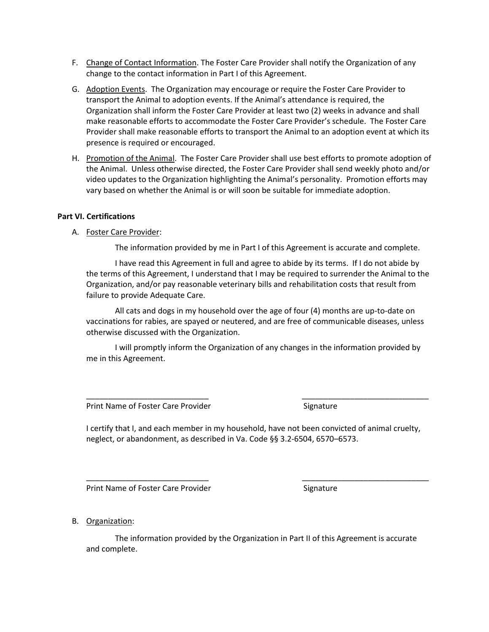- F. Change of Contact Information. The Foster Care Provider shall notify the Organization of any change to the contact information in Part I of this Agreement.
- G. Adoption Events. The Organization may encourage or require the Foster Care Provider to transport the Animal to adoption events. If the Animal's attendance is required, the Organization shall inform the Foster Care Provider at least two (2) weeks in advance and shall make reasonable efforts to accommodate the Foster Care Provider's schedule. The Foster Care Provider shall make reasonable efforts to transport the Animal to an adoption event at which its presence is required or encouraged.
- H. Promotion of the Animal. The Foster Care Provider shall use best efforts to promote adoption of the Animal. Unless otherwise directed, the Foster Care Provider shall send weekly photo and/or video updates to the Organization highlighting the Animal's personality. Promotion efforts may vary based on whether the Animal is or will soon be suitable for immediate adoption.

## **Part VI. Certifications**

A. Foster Care Provider:

The information provided by me in Part I of this Agreement is accurate and complete.

I have read this Agreement in full and agree to abide by its terms. If I do not abide by the terms of this Agreement, I understand that I may be required to surrender the Animal to the Organization, and/or pay reasonable veterinary bills and rehabilitation costs that result from failure to provide Adequate Care.

All cats and dogs in my household over the age of four (4) months are up-to-date on vaccinations for rabies, are spayed or neutered, and are free of communicable diseases, unless otherwise discussed with the Organization.

I will promptly inform the Organization of any changes in the information provided by me in this Agreement.

Print Name of Foster Care Provider Signature Signature

I certify that I, and each member in my household, have not been convicted of animal cruelty, neglect, or abandonment, as described in Va. Code §§ 3.2-6504, 6570–6573.

\_\_\_\_\_\_\_\_\_\_\_\_\_\_\_\_\_\_\_\_\_\_\_\_\_\_\_\_ \_\_\_\_\_\_\_\_\_\_\_\_\_\_\_\_\_\_\_\_\_\_\_\_\_\_\_\_\_

\_\_\_\_\_\_\_\_\_\_\_\_\_\_\_\_\_\_\_\_\_\_\_\_\_\_\_\_ \_\_\_\_\_\_\_\_\_\_\_\_\_\_\_\_\_\_\_\_\_\_\_\_\_\_\_\_\_

Print Name of Foster Care Provider Signature Signature

B. Organization:

The information provided by the Organization in Part II of this Agreement is accurate and complete.